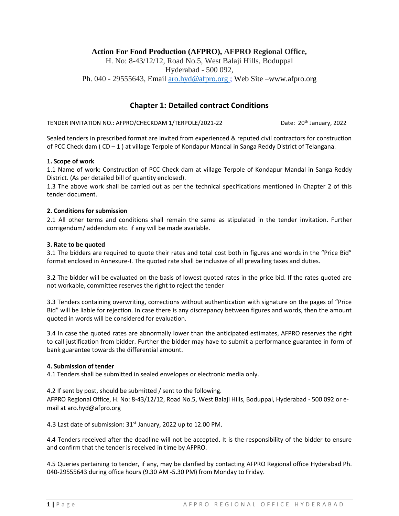## **Action For Food Production (AFPRO), AFPRO Regional Office,**

H. No: 8-43/12/12, Road No.5, West Balaji Hills, Boduppal Hyderabad - 500 092, Ph. 040 - 29555643, Email [aro.hyd@afpro.org ;](mailto:aro.hyd@afpro.org) Web Site –www.afpro.org

## **Chapter 1: Detailed contract Conditions**

TENDER INVITATION NO.: AFPRO/CHECKDAM 1/TERPOLE/2021-22 Date: 20<sup>th</sup> January, 2022

Sealed tenders in prescribed format are invited from experienced & reputed civil contractors for construction of PCC Check dam ( CD – 1 ) at village Terpole of Kondapur Mandal in Sanga Reddy District of Telangana.

#### **1. Scope of work**

1.1 Name of work: Construction of PCC Check dam at village Terpole of Kondapur Mandal in Sanga Reddy District. (As per detailed bill of quantity enclosed).

1.3 The above work shall be carried out as per the technical specifications mentioned in Chapter 2 of this tender document.

## **2. Conditions for submission**

2.1 All other terms and conditions shall remain the same as stipulated in the tender invitation. Further corrigendum/ addendum etc. if any will be made available.

#### **3. Rate to be quoted**

3.1 The bidders are required to quote their rates and total cost both in figures and words in the "Price Bid" format enclosed in Annexure-I. The quoted rate shall be inclusive of all prevailing taxes and duties.

3.2 The bidder will be evaluated on the basis of lowest quoted rates in the price bid. If the rates quoted are not workable, committee reserves the right to reject the tender

3.3 Tenders containing overwriting, corrections without authentication with signature on the pages of "Price Bid" will be liable for rejection. In case there is any discrepancy between figures and words, then the amount quoted in words will be considered for evaluation.

3.4 In case the quoted rates are abnormally lower than the anticipated estimates, AFPRO reserves the right to call justification from bidder. Further the bidder may have to submit a performance guarantee in form of bank guarantee towards the differential amount.

#### **4. Submission of tender**

4.1 Tenders shall be submitted in sealed envelopes or electronic media only.

4.2 If sent by post, should be submitted / sent to the following.

AFPRO Regional Office, H. No: 8-43/12/12, Road No.5, West Balaji Hills, Boduppal, Hyderabad - 500 092 or email at aro.hyd@afpro.org

4.3 Last date of submission: 31<sup>st</sup> January, 2022 up to 12.00 PM.

4.4 Tenders received after the deadline will not be accepted. It is the responsibility of the bidder to ensure and confirm that the tender is received in time by AFPRO.

4.5 Queries pertaining to tender, if any, may be clarified by contacting AFPRO Regional office Hyderabad Ph. 040-29555643 during office hours (9.30 AM -5.30 PM) from Monday to Friday.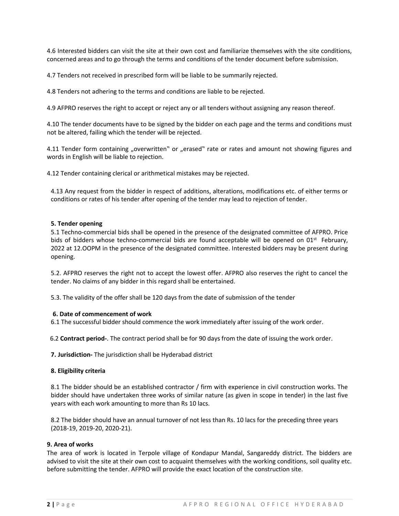4.6 Interested bidders can visit the site at their own cost and familiarize themselves with the site conditions, concerned areas and to go through the terms and conditions of the tender document before submission.

4.7 Tenders not received in prescribed form will be liable to be summarily rejected.

4.8 Tenders not adhering to the terms and conditions are liable to be rejected.

4.9 AFPRO reserves the right to accept or reject any or all tenders without assigning any reason thereof.

4.10 The tender documents have to be signed by the bidder on each page and the terms and conditions must not be altered, failing which the tender will be rejected.

4.11 Tender form containing "overwritten" or "erased" rate or rates and amount not showing figures and words in English will be liable to rejection.

4.12 Tender containing clerical or arithmetical mistakes may be rejected.

4.13 Any request from the bidder in respect of additions, alterations, modifications etc. of either terms or conditions or rates of his tender after opening of the tender may lead to rejection of tender.

#### **5. Tender opening**

5.1 Techno-commercial bids shall be opened in the presence of the designated committee of AFPRO. Price bids of bidders whose techno-commercial bids are found acceptable will be opened on 01<sup>st</sup> February, 2022 at 12.OOPM in the presence of the designated committee. Interested bidders may be present during opening.

5.2. AFPRO reserves the right not to accept the lowest offer. AFPRO also reserves the right to cancel the tender. No claims of any bidder in this regard shall be entertained.

5.3. The validity of the offer shall be 120 days from the date of submission of the tender

#### **6. Date of commencement of work**

6.1 The successful bidder should commence the work immediately after issuing of the work order.

6.2 **Contract period-**. The contract period shall be for 90 days from the date of issuing the work order.

**7. Jurisdiction-** The jurisdiction shall be Hyderabad district

#### **8. Eligibility criteria**

8.1 The bidder should be an established contractor / firm with experience in civil construction works. The bidder should have undertaken three works of similar nature (as given in scope in tender) in the last five years with each work amounting to more than Rs 10 lacs.

8.2 The bidder should have an annual turnover of not less than Rs. 10 lacs for the preceding three years (2018-19, 2019-20, 2020-21).

## **9. Area of works**

The area of work is located in Terpole village of Kondapur Mandal, Sangareddy district. The bidders are advised to visit the site at their own cost to acquaint themselves with the working conditions, soil quality etc. before submitting the tender. AFPRO will provide the exact location of the construction site.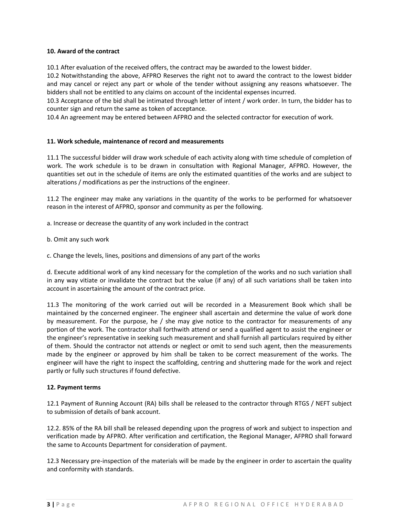## **10. Award of the contract**

10.1 After evaluation of the received offers, the contract may be awarded to the lowest bidder.

10.2 Notwithstanding the above, AFPRO Reserves the right not to award the contract to the lowest bidder and may cancel or reject any part or whole of the tender without assigning any reasons whatsoever. The bidders shall not be entitled to any claims on account of the incidental expenses incurred.

10.3 Acceptance of the bid shall be intimated through letter of intent / work order. In turn, the bidder has to counter sign and return the same as token of acceptance.

10.4 An agreement may be entered between AFPRO and the selected contractor for execution of work.

## **11. Work schedule, maintenance of record and measurements**

11.1 The successful bidder will draw work schedule of each activity along with time schedule of completion of work. The work schedule is to be drawn in consultation with Regional Manager, AFPRO. However, the quantities set out in the schedule of items are only the estimated quantities of the works and are subject to alterations / modifications as per the instructions of the engineer.

11.2 The engineer may make any variations in the quantity of the works to be performed for whatsoever reason in the interest of AFPRO, sponsor and community as per the following.

a. Increase or decrease the quantity of any work included in the contract

b. Omit any such work

c. Change the levels, lines, positions and dimensions of any part of the works

d. Execute additional work of any kind necessary for the completion of the works and no such variation shall in any way vitiate or invalidate the contract but the value (if any) of all such variations shall be taken into account in ascertaining the amount of the contract price.

11.3 The monitoring of the work carried out will be recorded in a Measurement Book which shall be maintained by the concerned engineer. The engineer shall ascertain and determine the value of work done by measurement. For the purpose, he / she may give notice to the contractor for measurements of any portion of the work. The contractor shall forthwith attend or send a qualified agent to assist the engineer or the engineer's representative in seeking such measurement and shall furnish all particulars required by either of them. Should the contractor not attends or neglect or omit to send such agent, then the measurements made by the engineer or approved by him shall be taken to be correct measurement of the works. The engineer will have the right to inspect the scaffolding, centring and shuttering made for the work and reject partly or fully such structures if found defective.

#### **12. Payment terms**

12.1 Payment of Running Account (RA) bills shall be released to the contractor through RTGS / NEFT subject to submission of details of bank account.

12.2. 85% of the RA bill shall be released depending upon the progress of work and subject to inspection and verification made by AFPRO. After verification and certification, the Regional Manager, AFPRO shall forward the same to Accounts Department for consideration of payment.

12.3 Necessary pre-inspection of the materials will be made by the engineer in order to ascertain the quality and conformity with standards.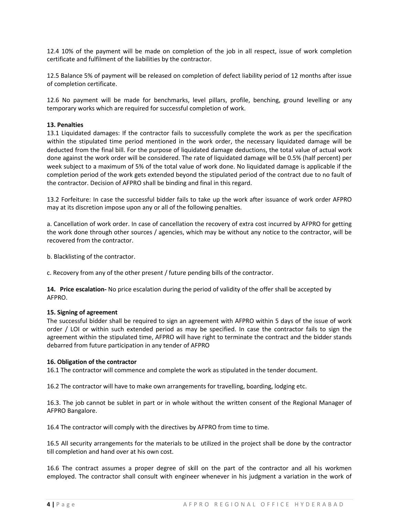12.4 10% of the payment will be made on completion of the job in all respect, issue of work completion certificate and fulfilment of the liabilities by the contractor.

12.5 Balance 5% of payment will be released on completion of defect liability period of 12 months after issue of completion certificate.

12.6 No payment will be made for benchmarks, level pillars, profile, benching, ground levelling or any temporary works which are required for successful completion of work.

#### **13. Penalties**

13.1 Liquidated damages: If the contractor fails to successfully complete the work as per the specification within the stipulated time period mentioned in the work order, the necessary liquidated damage will be deducted from the final bill. For the purpose of liquidated damage deductions, the total value of actual work done against the work order will be considered. The rate of liquidated damage will be 0.5% (half percent) per week subject to a maximum of 5% of the total value of work done. No liquidated damage is applicable if the completion period of the work gets extended beyond the stipulated period of the contract due to no fault of the contractor. Decision of AFPRO shall be binding and final in this regard.

13.2 Forfeiture: In case the successful bidder fails to take up the work after issuance of work order AFPRO may at its discretion impose upon any or all of the following penalties.

a. Cancellation of work order. In case of cancellation the recovery of extra cost incurred by AFPRO for getting the work done through other sources / agencies, which may be without any notice to the contractor, will be recovered from the contractor.

b. Blacklisting of the contractor.

c. Recovery from any of the other present / future pending bills of the contractor.

**14. Price escalation-** No price escalation during the period of validity of the offer shall be accepted by AFPRO.

#### **15. Signing of agreement**

The successful bidder shall be required to sign an agreement with AFPRO within 5 days of the issue of work order / LOI or within such extended period as may be specified. In case the contractor fails to sign the agreement within the stipulated time, AFPRO will have right to terminate the contract and the bidder stands debarred from future participation in any tender of AFPRO

#### **16. Obligation of the contractor**

16.1 The contractor will commence and complete the work as stipulated in the tender document.

16.2 The contractor will have to make own arrangements for travelling, boarding, lodging etc.

16.3. The job cannot be sublet in part or in whole without the written consent of the Regional Manager of AFPRO Bangalore.

16.4 The contractor will comply with the directives by AFPRO from time to time.

16.5 All security arrangements for the materials to be utilized in the project shall be done by the contractor till completion and hand over at his own cost.

16.6 The contract assumes a proper degree of skill on the part of the contractor and all his workmen employed. The contractor shall consult with engineer whenever in his judgment a variation in the work of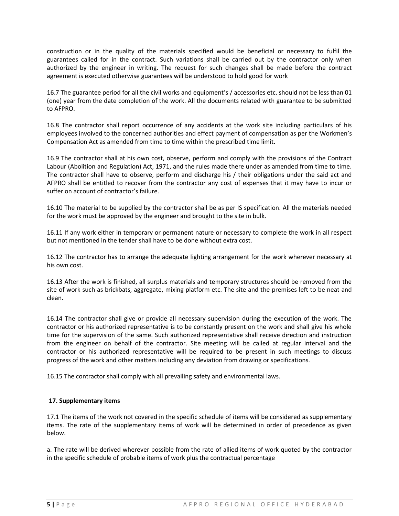construction or in the quality of the materials specified would be beneficial or necessary to fulfil the guarantees called for in the contract. Such variations shall be carried out by the contractor only when authorized by the engineer in writing. The request for such changes shall be made before the contract agreement is executed otherwise guarantees will be understood to hold good for work

16.7 The guarantee period for all the civil works and equipment's / accessories etc. should not be less than 01 (one) year from the date completion of the work. All the documents related with guarantee to be submitted to AFPRO.

16.8 The contractor shall report occurrence of any accidents at the work site including particulars of his employees involved to the concerned authorities and effect payment of compensation as per the Workmen's Compensation Act as amended from time to time within the prescribed time limit.

16.9 The contractor shall at his own cost, observe, perform and comply with the provisions of the Contract Labour (Abolition and Regulation) Act, 1971, and the rules made there under as amended from time to time. The contractor shall have to observe, perform and discharge his / their obligations under the said act and AFPRO shall be entitled to recover from the contractor any cost of expenses that it may have to incur or suffer on account of contractor's failure.

16.10 The material to be supplied by the contractor shall be as per IS specification. All the materials needed for the work must be approved by the engineer and brought to the site in bulk.

16.11 If any work either in temporary or permanent nature or necessary to complete the work in all respect but not mentioned in the tender shall have to be done without extra cost.

16.12 The contractor has to arrange the adequate lighting arrangement for the work wherever necessary at his own cost.

16.13 After the work is finished, all surplus materials and temporary structures should be removed from the site of work such as brickbats, aggregate, mixing platform etc. The site and the premises left to be neat and clean.

16.14 The contractor shall give or provide all necessary supervision during the execution of the work. The contractor or his authorized representative is to be constantly present on the work and shall give his whole time for the supervision of the same. Such authorized representative shall receive direction and instruction from the engineer on behalf of the contractor. Site meeting will be called at regular interval and the contractor or his authorized representative will be required to be present in such meetings to discuss progress of the work and other matters including any deviation from drawing or specifications.

16.15 The contractor shall comply with all prevailing safety and environmental laws.

## **17. Supplementary items**

17.1 The items of the work not covered in the specific schedule of items will be considered as supplementary items. The rate of the supplementary items of work will be determined in order of precedence as given below.

a. The rate will be derived wherever possible from the rate of allied items of work quoted by the contractor in the specific schedule of probable items of work plus the contractual percentage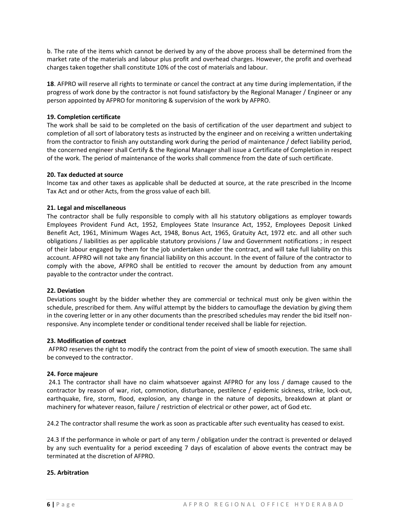b. The rate of the items which cannot be derived by any of the above process shall be determined from the market rate of the materials and labour plus profit and overhead charges. However, the profit and overhead charges taken together shall constitute 10% of the cost of materials and labour.

**18**. AFPRO will reserve all rights to terminate or cancel the contract at any time during implementation, if the progress of work done by the contractor is not found satisfactory by the Regional Manager / Engineer or any person appointed by AFPRO for monitoring & supervision of the work by AFPRO.

## **19. Completion certificate**

The work shall be said to be completed on the basis of certification of the user department and subject to completion of all sort of laboratory tests as instructed by the engineer and on receiving a written undertaking from the contractor to finish any outstanding work during the period of maintenance / defect liability period, the concerned engineer shall Certify & the Regional Manager shall issue a Certificate of Completion in respect of the work. The period of maintenance of the works shall commence from the date of such certificate.

#### **20. Tax deducted at source**

Income tax and other taxes as applicable shall be deducted at source, at the rate prescribed in the Income Tax Act and or other Acts, from the gross value of each bill.

## **21. Legal and miscellaneous**

The contractor shall be fully responsible to comply with all his statutory obligations as employer towards Employees Provident Fund Act, 1952, Employees State Insurance Act, 1952, Employees Deposit Linked Benefit Act, 1961, Minimum Wages Act, 1948, Bonus Act, 1965, Gratuity Act, 1972 etc. and all other such obligations / liabilities as per applicable statutory provisions / law and Government notifications ; in respect of their labour engaged by them for the job undertaken under the contract, and will take full liability on this account. AFPRO will not take any financial liability on this account. In the event of failure of the contractor to comply with the above, AFPRO shall be entitled to recover the amount by deduction from any amount payable to the contractor under the contract.

#### **22. Deviation**

Deviations sought by the bidder whether they are commercial or technical must only be given within the schedule, prescribed for them. Any wilful attempt by the bidders to camouflage the deviation by giving them in the covering letter or in any other documents than the prescribed schedules may render the bid itself nonresponsive. Any incomplete tender or conditional tender received shall be liable for rejection.

#### **23. Modification of contract**

AFPRO reserves the right to modify the contract from the point of view of smooth execution. The same shall be conveyed to the contractor.

#### **24. Force majeure**

24.1 The contractor shall have no claim whatsoever against AFPRO for any loss / damage caused to the contractor by reason of war, riot, commotion, disturbance, pestilence / epidemic sickness, strike, lock-out, earthquake, fire, storm, flood, explosion, any change in the nature of deposits, breakdown at plant or machinery for whatever reason, failure / restriction of electrical or other power, act of God etc.

24.2 The contractor shall resume the work as soon as practicable after such eventuality has ceased to exist.

24.3 If the performance in whole or part of any term / obligation under the contract is prevented or delayed by any such eventuality for a period exceeding 7 days of escalation of above events the contract may be terminated at the discretion of AFPRO.

#### **25. Arbitration**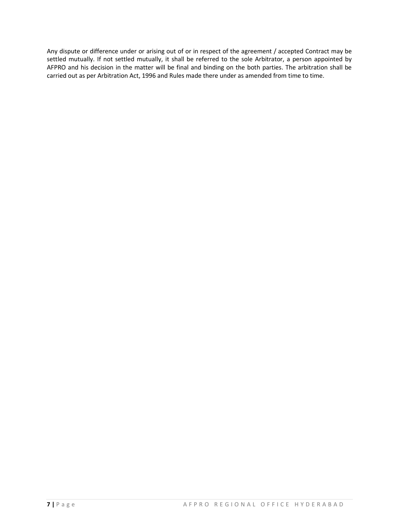Any dispute or difference under or arising out of or in respect of the agreement / accepted Contract may be settled mutually. If not settled mutually, it shall be referred to the sole Arbitrator, a person appointed by AFPRO and his decision in the matter will be final and binding on the both parties. The arbitration shall be carried out as per Arbitration Act, 1996 and Rules made there under as amended from time to time.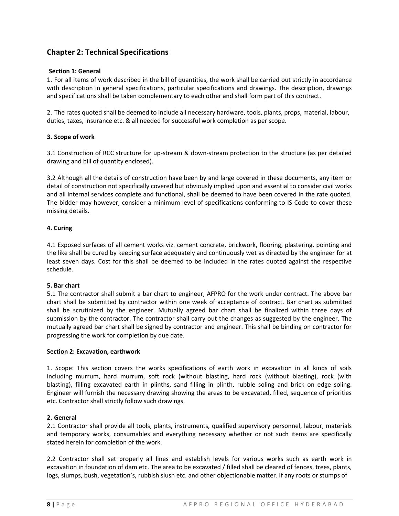# **Chapter 2: Technical Specifications**

## **Section 1: General**

1. For all items of work described in the bill of quantities, the work shall be carried out strictly in accordance with description in general specifications, particular specifications and drawings. The description, drawings and specifications shall be taken complementary to each other and shall form part of this contract.

2. The rates quoted shall be deemed to include all necessary hardware, tools, plants, props, material, labour, duties, taxes, insurance etc. & all needed for successful work completion as per scope.

## **3. Scope of work**

3.1 Construction of RCC structure for up-stream & down-stream protection to the structure (as per detailed drawing and bill of quantity enclosed).

3.2 Although all the details of construction have been by and large covered in these documents, any item or detail of construction not specifically covered but obviously implied upon and essential to consider civil works and all internal services complete and functional, shall be deemed to have been covered in the rate quoted. The bidder may however, consider a minimum level of specifications conforming to IS Code to cover these missing details.

## **4. Curing**

4.1 Exposed surfaces of all cement works viz. cement concrete, brickwork, flooring, plastering, pointing and the like shall be cured by keeping surface adequately and continuously wet as directed by the engineer for at least seven days. Cost for this shall be deemed to be included in the rates quoted against the respective schedule.

#### **5. Bar chart**

5.1 The contractor shall submit a bar chart to engineer, AFPRO for the work under contract. The above bar chart shall be submitted by contractor within one week of acceptance of contract. Bar chart as submitted shall be scrutinized by the engineer. Mutually agreed bar chart shall be finalized within three days of submission by the contractor. The contractor shall carry out the changes as suggested by the engineer. The mutually agreed bar chart shall be signed by contractor and engineer. This shall be binding on contractor for progressing the work for completion by due date.

#### **Section 2: Excavation, earthwork**

1. Scope: This section covers the works specifications of earth work in excavation in all kinds of soils including murrum, hard murrum, soft rock (without blasting, hard rock (without blasting), rock (with blasting), filling excavated earth in plinths, sand filling in plinth, rubble soling and brick on edge soling. Engineer will furnish the necessary drawing showing the areas to be excavated, filled, sequence of priorities etc. Contractor shall strictly follow such drawings.

## **2. General**

2.1 Contractor shall provide all tools, plants, instruments, qualified supervisory personnel, labour, materials and temporary works, consumables and everything necessary whether or not such items are specifically stated herein for completion of the work.

2.2 Contractor shall set properly all lines and establish levels for various works such as earth work in excavation in foundation of dam etc. The area to be excavated / filled shall be cleared of fences, trees, plants, logs, slumps, bush, vegetation's, rubbish slush etc. and other objectionable matter. If any roots or stumps of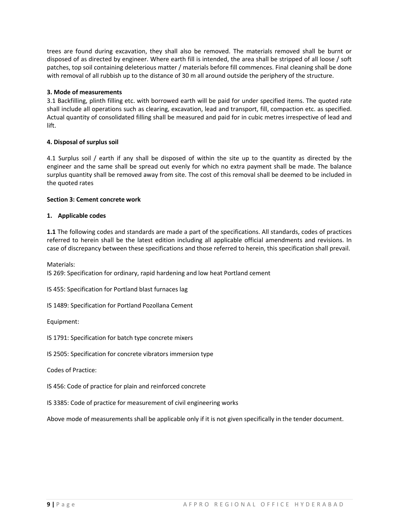trees are found during excavation, they shall also be removed. The materials removed shall be burnt or disposed of as directed by engineer. Where earth fill is intended, the area shall be stripped of all loose / soft patches, top soil containing deleterious matter / materials before fill commences. Final cleaning shall be done with removal of all rubbish up to the distance of 30 m all around outside the periphery of the structure.

## **3. Mode of measurements**

3.1 Backfilling, plinth filling etc. with borrowed earth will be paid for under specified items. The quoted rate shall include all operations such as clearing, excavation, lead and transport, fill, compaction etc. as specified. Actual quantity of consolidated filling shall be measured and paid for in cubic metres irrespective of lead and lift.

## **4. Disposal of surplus soil**

4.1 Surplus soil / earth if any shall be disposed of within the site up to the quantity as directed by the engineer and the same shall be spread out evenly for which no extra payment shall be made. The balance surplus quantity shall be removed away from site. The cost of this removal shall be deemed to be included in the quoted rates

## **Section 3: Cement concrete work**

## **1. Applicable codes**

**1.1** The following codes and standards are made a part of the specifications. All standards, codes of practices referred to herein shall be the latest edition including all applicable official amendments and revisions. In case of discrepancy between these specifications and those referred to herein, this specification shall prevail.

Materials:

IS 269: Specification for ordinary, rapid hardening and low heat Portland cement

IS 455: Specification for Portland blast furnaces lag

IS 1489: Specification for Portland Pozollana Cement

Equipment:

IS 1791: Specification for batch type concrete mixers

IS 2505: Specification for concrete vibrators immersion type

Codes of Practice:

IS 456: Code of practice for plain and reinforced concrete

IS 3385: Code of practice for measurement of civil engineering works

Above mode of measurements shall be applicable only if it is not given specifically in the tender document.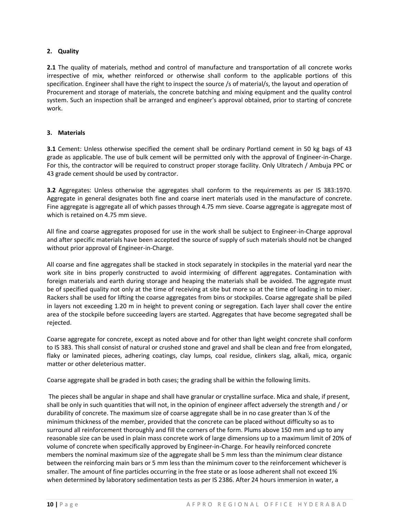## **2. Quality**

**2.1** The quality of materials, method and control of manufacture and transportation of all concrete works irrespective of mix, whether reinforced or otherwise shall conform to the applicable portions of this specification. Engineer shall have the right to inspect the source /s of material/s, the layout and operation of Procurement and storage of materials, the concrete batching and mixing equipment and the quality control system. Such an inspection shall be arranged and engineer's approval obtained, prior to starting of concrete work.

## **3. Materials**

**3.1** Cement: Unless otherwise specified the cement shall be ordinary Portland cement in 50 kg bags of 43 grade as applicable. The use of bulk cement will be permitted only with the approval of Engineer-in-Charge. For this, the contractor will be required to construct proper storage facility. Only Ultratech / Ambuja PPC or 43 grade cement should be used by contractor.

**3.2** Aggregates: Unless otherwise the aggregates shall conform to the requirements as per IS 383:1970. Aggregate in general designates both fine and coarse inert materials used in the manufacture of concrete. Fine aggregate is aggregate all of which passes through 4.75 mm sieve. Coarse aggregate is aggregate most of which is retained on 4.75 mm sieve.

All fine and coarse aggregates proposed for use in the work shall be subject to Engineer-in-Charge approval and after specific materials have been accepted the source of supply of such materials should not be changed without prior approval of Engineer-in-Charge.

All coarse and fine aggregates shall be stacked in stock separately in stockpiles in the material yard near the work site in bins properly constructed to avoid intermixing of different aggregates. Contamination with foreign materials and earth during storage and heaping the materials shall be avoided. The aggregate must be of specified quality not only at the time of receiving at site but more so at the time of loading in to mixer. Rackers shall be used for lifting the coarse aggregates from bins or stockpiles. Coarse aggregate shall be piled in layers not exceeding 1.20 m in height to prevent coning or segregation. Each layer shall cover the entire area of the stockpile before succeeding layers are started. Aggregates that have become segregated shall be rejected.

Coarse aggregate for concrete, except as noted above and for other than light weight concrete shall conform to IS 383. This shall consist of natural or crushed stone and gravel and shall be clean and free from elongated, flaky or laminated pieces, adhering coatings, clay lumps, coal residue, clinkers slag, alkali, mica, organic matter or other deleterious matter.

Coarse aggregate shall be graded in both cases; the grading shall be within the following limits.

The pieces shall be angular in shape and shall have granular or crystalline surface. Mica and shale, if present, shall be only in such quantities that will not, in the opinion of engineer affect adversely the strength and / or durability of concrete. The maximum size of coarse aggregate shall be in no case greater than ¼ of the minimum thickness of the member, provided that the concrete can be placed without difficulty so as to surround all reinforcement thoroughly and fill the corners of the form. Plums above 150 mm and up to any reasonable size can be used in plain mass concrete work of large dimensions up to a maximum limit of 20% of volume of concrete when specifically approved by Engineer-in-Charge. For heavily reinforced concrete members the nominal maximum size of the aggregate shall be 5 mm less than the minimum clear distance between the reinforcing main bars or 5 mm less than the minimum cover to the reinforcement whichever is smaller. The amount of fine particles occurring in the free state or as loose adherent shall not exceed 1% when determined by laboratory sedimentation tests as per IS 2386. After 24 hours immersion in water, a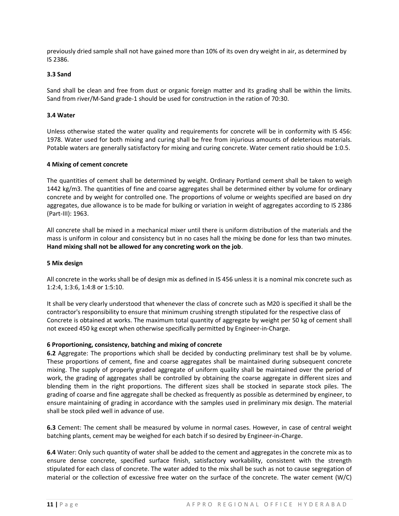previously dried sample shall not have gained more than 10% of its oven dry weight in air, as determined by IS 2386.

## **3.3 Sand**

Sand shall be clean and free from dust or organic foreign matter and its grading shall be within the limits. Sand from river/M-Sand grade-1 should be used for construction in the ration of 70:30.

## **3.4 Water**

Unless otherwise stated the water quality and requirements for concrete will be in conformity with IS 456: 1978. Water used for both mixing and curing shall be free from injurious amounts of deleterious materials. Potable waters are generally satisfactory for mixing and curing concrete. Water cement ratio should be 1:0.5.

#### **4 Mixing of cement concrete**

The quantities of cement shall be determined by weight. Ordinary Portland cement shall be taken to weigh 1442 kg/m3. The quantities of fine and coarse aggregates shall be determined either by volume for ordinary concrete and by weight for controlled one. The proportions of volume or weights specified are based on dry aggregates, due allowance is to be made for bulking or variation in weight of aggregates according to IS 2386 (Part-III): 1963.

All concrete shall be mixed in a mechanical mixer until there is uniform distribution of the materials and the mass is uniform in colour and consistency but in no cases hall the mixing be done for less than two minutes. **Hand mixing shall not be allowed for any concreting work on the job**.

#### **5 Mix design**

All concrete in the works shall be of design mix as defined in IS 456 unless it is a nominal mix concrete such as 1:2:4, 1:3:6, 1:4:8 or 1:5:10.

It shall be very clearly understood that whenever the class of concrete such as M20 is specified it shall be the contractor's responsibility to ensure that minimum crushing strength stipulated for the respective class of Concrete is obtained at works. The maximum total quantity of aggregate by weight per 50 kg of cement shall not exceed 450 kg except when otherwise specifically permitted by Engineer-in-Charge.

#### **6 Proportioning, consistency, batching and mixing of concrete**

**6.2** Aggregate: The proportions which shall be decided by conducting preliminary test shall be by volume. These proportions of cement, fine and coarse aggregates shall be maintained during subsequent concrete mixing. The supply of properly graded aggregate of uniform quality shall be maintained over the period of work, the grading of aggregates shall be controlled by obtaining the coarse aggregate in different sizes and blending them in the right proportions. The different sizes shall be stocked in separate stock piles. The grading of coarse and fine aggregate shall be checked as frequently as possible as determined by engineer, to ensure maintaining of grading in accordance with the samples used in preliminary mix design. The material shall be stock piled well in advance of use.

**6.3** Cement: The cement shall be measured by volume in normal cases. However, in case of central weight batching plants, cement may be weighed for each batch if so desired by Engineer-in-Charge.

**6.4** Water: Only such quantity of water shall be added to the cement and aggregates in the concrete mix as to ensure dense concrete, specified surface finish, satisfactory workability, consistent with the strength stipulated for each class of concrete. The water added to the mix shall be such as not to cause segregation of material or the collection of excessive free water on the surface of the concrete. The water cement (W/C)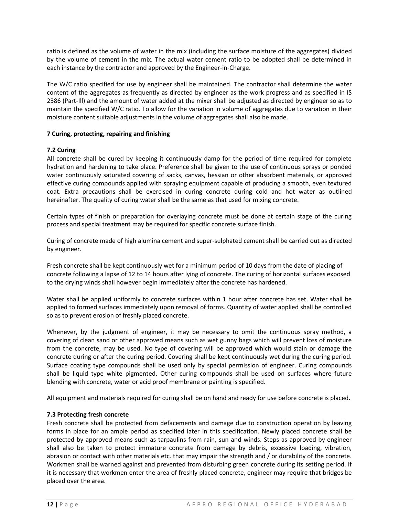ratio is defined as the volume of water in the mix (including the surface moisture of the aggregates) divided by the volume of cement in the mix. The actual water cement ratio to be adopted shall be determined in each instance by the contractor and approved by the Engineer-in-Charge.

The W/C ratio specified for use by engineer shall be maintained. The contractor shall determine the water content of the aggregates as frequently as directed by engineer as the work progress and as specified in IS 2386 (Part-Ill) and the amount of water added at the mixer shall be adjusted as directed by engineer so as to maintain the specified W/C ratio. To allow for the variation in volume of aggregates due to variation in their moisture content suitable adjustments in the volume of aggregates shall also be made.

## **7 Curing, protecting, repairing and finishing**

## **7.2 Curing**

All concrete shall be cured by keeping it continuously damp for the period of time required for complete hydration and hardening to take place. Preference shall be given to the use of continuous sprays or ponded water continuously saturated covering of sacks, canvas, hessian or other absorbent materials, or approved effective curing compounds applied with spraying equipment capable of producing a smooth, even textured coat. Extra precautions shall be exercised in curing concrete during cold and hot water as outlined hereinafter. The quality of curing water shall be the same as that used for mixing concrete.

Certain types of finish or preparation for overlaying concrete must be done at certain stage of the curing process and special treatment may be required for specific concrete surface finish.

Curing of concrete made of high alumina cement and super-sulphated cement shall be carried out as directed by engineer.

Fresh concrete shall be kept continuously wet for a minimum period of 10 days from the date of placing of concrete following a lapse of 12 to 14 hours after lying of concrete. The curing of horizontal surfaces exposed to the drying winds shall however begin immediately after the concrete has hardened.

Water shall be applied uniformly to concrete surfaces within 1 hour after concrete has set. Water shall be applied to formed surfaces immediately upon removal of forms. Quantity of water applied shall be controlled so as to prevent erosion of freshly placed concrete.

Whenever, by the judgment of engineer, it may be necessary to omit the continuous spray method, a covering of clean sand or other approved means such as wet gunny bags which will prevent loss of moisture from the concrete, may be used. No type of covering will be approved which would stain or damage the concrete during or after the curing period. Covering shall be kept continuously wet during the curing period. Surface coating type compounds shall be used only by special permission of engineer. Curing compounds shall be liquid type white pigmented. Other curing compounds shall be used on surfaces where future blending with concrete, water or acid proof membrane or painting is specified.

All equipment and materials required for curing shall be on hand and ready for use before concrete is placed.

## **7.3 Protecting fresh concrete**

Fresh concrete shall be protected from defacements and damage due to construction operation by leaving forms in place for an ample period as specified later in this specification. Newly placed concrete shall be protected by approved means such as tarpaulins from rain, sun and winds. Steps as approved by engineer shall also be taken to protect immature concrete from damage by debris, excessive loading, vibration, abrasion or contact with other materials etc. that may impair the strength and / or durability of the concrete. Workmen shall be warned against and prevented from disturbing green concrete during its setting period. If it is necessary that workmen enter the area of freshly placed concrete, engineer may require that bridges be placed over the area.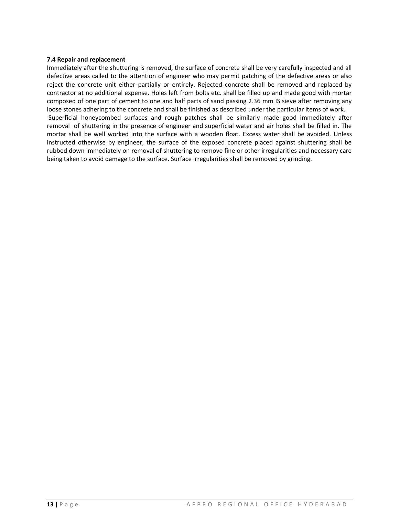## **7.4 Repair and replacement**

Immediately after the shuttering is removed, the surface of concrete shall be very carefully inspected and all defective areas called to the attention of engineer who may permit patching of the defective areas or also reject the concrete unit either partially or entirely. Rejected concrete shall be removed and replaced by contractor at no additional expense. Holes left from bolts etc. shall be filled up and made good with mortar composed of one part of cement to one and half parts of sand passing 2.36 mm IS sieve after removing any loose stones adhering to the concrete and shall be finished as described under the particular items of work. Superficial honeycombed surfaces and rough patches shall be similarly made good immediately after removal of shuttering in the presence of engineer and superficial water and air holes shall be filled in. The mortar shall be well worked into the surface with a wooden float. Excess water shall be avoided. Unless instructed otherwise by engineer, the surface of the exposed concrete placed against shuttering shall be rubbed down immediately on removal of shuttering to remove fine or other irregularities and necessary care being taken to avoid damage to the surface. Surface irregularities shall be removed by grinding.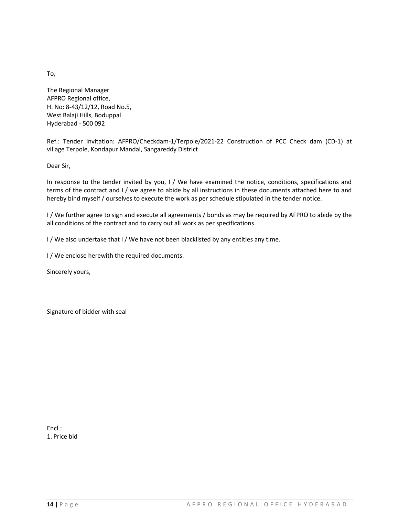To,

The Regional Manager AFPRO Regional office, H. No: 8-43/12/12, Road No.5, West Balaji Hills, Boduppal Hyderabad - 500 092

Ref.: Tender Invitation: AFPRO/Checkdam-1/Terpole/2021-22 Construction of PCC Check dam (CD-1) at village Terpole, Kondapur Mandal, Sangareddy District

Dear Sir,

In response to the tender invited by you, I / We have examined the notice, conditions, specifications and terms of the contract and I / we agree to abide by all instructions in these documents attached here to and hereby bind myself / ourselves to execute the work as per schedule stipulated in the tender notice.

I / We further agree to sign and execute all agreements / bonds as may be required by AFPRO to abide by the all conditions of the contract and to carry out all work as per specifications.

I / We also undertake that I / We have not been blacklisted by any entities any time.

I / We enclose herewith the required documents.

Sincerely yours,

Signature of bidder with seal

Encl.: 1. Price bid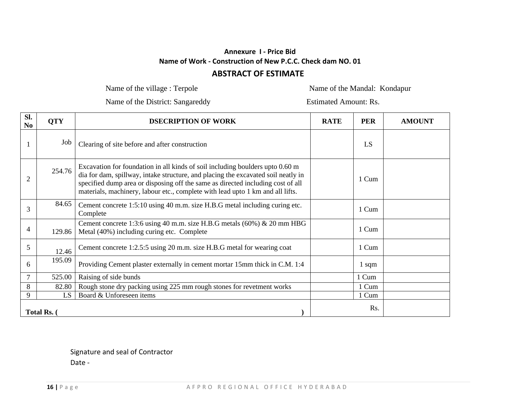# **Annexure I - Price Bid Name of Work - Construction of New P.C.C. Check dam NO. 01**

# **ABSTRACT OF ESTIMATE**

Name of the village : Terpole Name of the Mandal: Kondapur

Name of the District: Sangareddy Estimated Amount: Rs.

| SI.<br>N <sub>0</sub> | <b>QTY</b> | <b>DSECRIPTION OF WORK</b>                                                                                                                                                                                                                                                                                                              | <b>RATE</b> | <b>PER</b> | <b>AMOUNT</b> |
|-----------------------|------------|-----------------------------------------------------------------------------------------------------------------------------------------------------------------------------------------------------------------------------------------------------------------------------------------------------------------------------------------|-------------|------------|---------------|
|                       | Job        | Clearing of site before and after construction                                                                                                                                                                                                                                                                                          |             | LS         |               |
| $\overline{2}$        | 254.76     | Excavation for foundation in all kinds of soil including boulders upto 0.60 m<br>dia for dam, spillway, intake structure, and placing the excavated soil neatly in<br>specified dump area or disposing off the same as directed including cost of all<br>materials, machinery, labour etc., complete with lead upto 1 km and all lifts. |             | 1 Cum      |               |
| 3                     | 84.65      | Cement concrete 1:5:10 using 40 m.m. size H.B.G metal including curing etc.<br>Complete                                                                                                                                                                                                                                                 |             | 1 Cum      |               |
| 4                     | 129.86     | Cement concrete 1:3:6 using 40 m.m. size H.B.G metals $(60\%)$ & 20 mm HBG<br>Metal (40%) including curing etc. Complete                                                                                                                                                                                                                |             | 1 Cum      |               |
| 5                     | 12.46      | Cement concrete 1:2.5:5 using 20 m.m. size H.B.G metal for wearing coat                                                                                                                                                                                                                                                                 |             | 1 Cum      |               |
| 6                     | 195.09     | Providing Cement plaster externally in cement mortar 15mm thick in C.M. 1:4                                                                                                                                                                                                                                                             |             | $1$ sqm    |               |
| $\overline{7}$        | 525.00     | Raising of side bunds                                                                                                                                                                                                                                                                                                                   |             | 1 Cum      |               |
| 8                     | 82.80      | Rough stone dry packing using 225 mm rough stones for revetment works                                                                                                                                                                                                                                                                   |             | 1 Cum      |               |
| 9                     | LS.        | Board & Unforeseen items                                                                                                                                                                                                                                                                                                                |             | 1 Cum      |               |
| Total Rs. (           |            |                                                                                                                                                                                                                                                                                                                                         |             | Rs.        |               |

Signature and seal of Contractor Date -